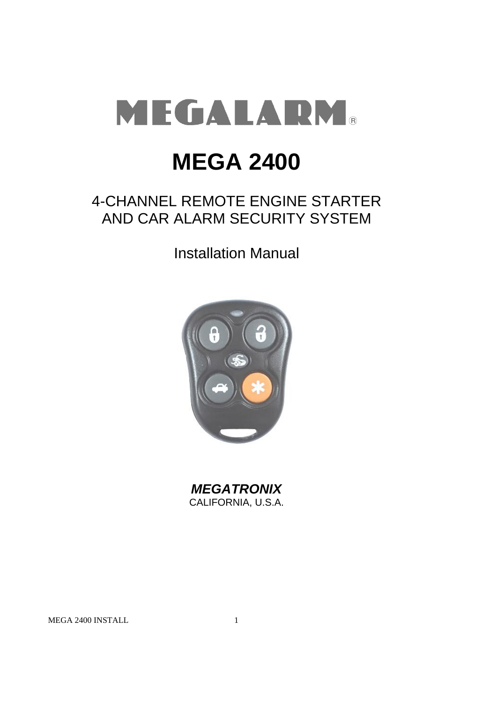

# **MEGA 2400**

# 4-CHANNEL REMOTE ENGINE STARTER AND CAR ALARM SECURITY SYSTEM

Installation Manual



*MEGATRONIX* CALIFORNIA, U.S.A.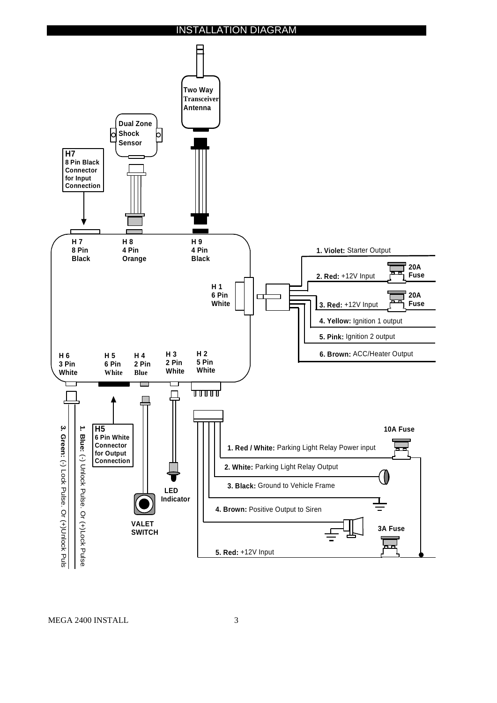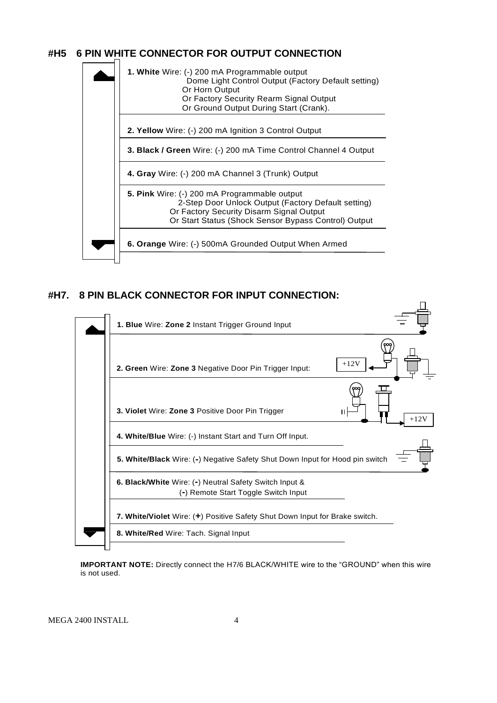# **#H5 6 PIN WHITE CONNECTOR FOR OUTPUT CONNECTION**



# **#H7. 8 PIN BLACK CONNECTOR FOR INPUT CONNECTION:**



**IMPORTANT NOTE:** Directly connect the H7/6 BLACK/WHITE wire to the "GROUND" when this wire is not used.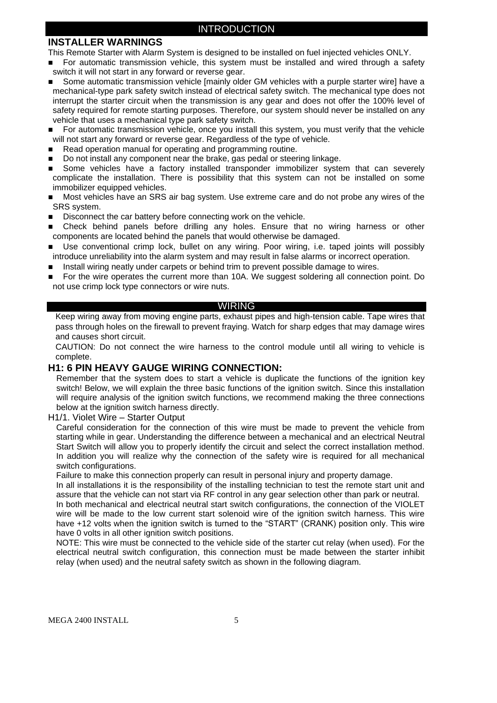# **INSTALLER WARNINGS**

This Remote Starter with Alarm System is designed to be installed on fuel injected vehicles ONLY.

- For automatic transmission vehicle, this system must be installed and wired through a safety switch it will not start in any forward or reverse gear.
- Some automatic transmission vehicle [mainly older GM vehicles with a purple starter wire] have a mechanical-type park safety switch instead of electrical safety switch. The mechanical type does not interrupt the starter circuit when the transmission is any gear and does not offer the 100% level of safety required for remote starting purposes. Therefore, our system should never be installed on any vehicle that uses a mechanical type park safety switch.
- **For automatic transmission vehicle, once you install this system, you must verify that the vehicle** will not start any forward or reverse gear. Regardless of the type of vehicle.
- Read operation manual for operating and programming routine.
- Do not install any component near the brake, gas pedal or steering linkage.
- Some vehicles have a factory installed transponder immobilizer system that can severely complicate the installation. There is possibility that this system can not be installed on some immobilizer equipped vehicles.
- Most vehicles have an SRS air bag system. Use extreme care and do not probe any wires of the SRS system.
- Disconnect the car battery before connecting work on the vehicle.
- Check behind panels before drilling any holes. Ensure that no wiring harness or other components are located behind the panels that would otherwise be damaged.
- Use conventional crimp lock, bullet on any wiring. Poor wiring, i.e. taped joints will possibly introduce unreliability into the alarm system and may result in false alarms or incorrect operation.
- Install wiring neatly under carpets or behind trim to prevent possible damage to wires.
- For the wire operates the current more than 10A. We suggest soldering all connection point. Do not use crimp lock type connectors or wire nuts.

#### WIRING

Keep wiring away from moving engine parts, exhaust pipes and high-tension cable. Tape wires that pass through holes on the firewall to prevent fraying. Watch for sharp edges that may damage wires and causes short circuit.

CAUTION: Do not connect the wire harness to the control module until all wiring to vehicle is complete.

# **H1: 6 PIN HEAVY GAUGE WIRING CONNECTION:**

Remember that the system does to start a vehicle is duplicate the functions of the ignition key switch! Below, we will explain the three basic functions of the ignition switch. Since this installation will require analysis of the ignition switch functions, we recommend making the three connections below at the ignition switch harness directly.

H1/1. Violet Wire – Starter Output

Careful consideration for the connection of this wire must be made to prevent the vehicle from starting while in gear. Understanding the difference between a mechanical and an electrical Neutral Start Switch will allow you to properly identify the circuit and select the correct installation method. In addition you will realize why the connection of the safety wire is required for all mechanical switch configurations.

Failure to make this connection properly can result in personal injury and property damage.

In all installations it is the responsibility of the installing technician to test the remote start unit and assure that the vehicle can not start via RF control in any gear selection other than park or neutral. In both mechanical and electrical neutral start switch configurations, the connection of the VIOLET wire will be made to the low current start solenoid wire of the ignition switch harness. This wire have +12 volts when the ignition switch is turned to the "START" (CRANK) position only. This wire have 0 volts in all other ignition switch positions.

NOTE: This wire must be connected to the vehicle side of the starter cut relay (when used). For the electrical neutral switch configuration, this connection must be made between the starter inhibit relay (when used) and the neutral safety switch as shown in the following diagram.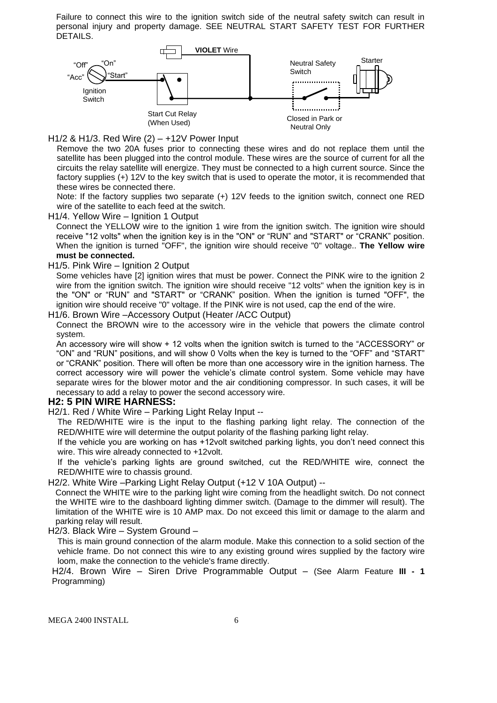Failure to connect this wire to the ignition switch side of the neutral safety switch can result in personal injury and property damage. SEE NEUTRAL START SAFETY TEST FOR FURTHER DETAILS.



H1/2 & H1/3. Red Wire (2) – +12V Power Input

Remove the two 20A fuses prior to connecting these wires and do not replace them until the satellite has been plugged into the control module. These wires are the source of current for all the circuits the relay satellite will energize. They must be connected to a high current source. Since the factory supplies (+) 12V to the key switch that is used to operate the motor, it is recommended that these wires be connected there.

Note: If the factory supplies two separate (+) 12V feeds to the ignition switch, connect one RED wire of the satellite to each feed at the switch.

H1/4. Yellow Wire – Ignition 1 Output

Connect the YELLOW wire to the ignition 1 wire from the ignition switch. The ignition wire should receive "12 volts" when the ignition key is in the "ON" or "RUN" and "START" or "CRANK" position. When the ignition is turned "OFF", the ignition wire should receive "0" voltage.. **The Yellow wire must be connected.**

#### H1/5. Pink Wire – Ignition 2 Output

Some vehicles have [2] ignition wires that must be power. Connect the PINK wire to the ignition 2 wire from the ignition switch. The ignition wire should receive "12 volts" when the ignition key is in the "ON" or "RUN" and "START" or "CRANK" position. When the ignition is turned "OFF", the ignition wire should receive "0" voltage. If the PINK wire is not used, cap the end of the wire.

H1/6. Brown Wire –Accessory Output (Heater /ACC Output)

Connect the BROWN wire to the accessory wire in the vehicle that powers the climate control system.

An accessory wire will show + 12 volts when the ignition switch is turned to the "ACCESSORY" or "ON" and "RUN" positions, and will show 0 Volts when the key is turned to the "OFF" and "START" or "CRANK" position. There will often be more than one accessory wire in the ignition harness. The correct accessory wire will power the vehicle's climate control system. Some vehicle may have separate wires for the blower motor and the air conditioning compressor. In such cases, it will be necessary to add a relay to power the second accessory wire.

#### **H2: 5 PIN WIRE HARNESS:**

H2/1. Red / White Wire – Parking Light Relay Input --

The RED/WHITE wire is the input to the flashing parking light relay. The connection of the RED/WHITE wire will determine the output polarity of the flashing parking light relay.

If the vehicle you are working on has +12volt switched parking lights, you don't need connect this wire. This wire already connected to +12volt.

If the vehicle's parking lights are ground switched, cut the RED/WHITE wire, connect the RED/WHITE wire to chassis ground.

H2/2. White Wire –Parking Light Relay Output (+12 V 10A Output) --

Connect the WHITE wire to the parking light wire coming from the headlight switch. Do not connect the WHITE wire to the dashboard lighting dimmer switch. (Damage to the dimmer will result). The limitation of the WHITE wire is 10 AMP max. Do not exceed this limit or damage to the alarm and parking relay will result.

H2/3. Black Wire – System Ground –

This is main ground connection of the alarm module. Make this connection to a solid section of the vehicle frame. Do not connect this wire to any existing ground wires supplied by the factory wire loom, make the connection to the vehicle's frame directly.

H2/4. Brown Wire – Siren Drive Programmable Output – (See Alarm Feature **III - 1** Programming)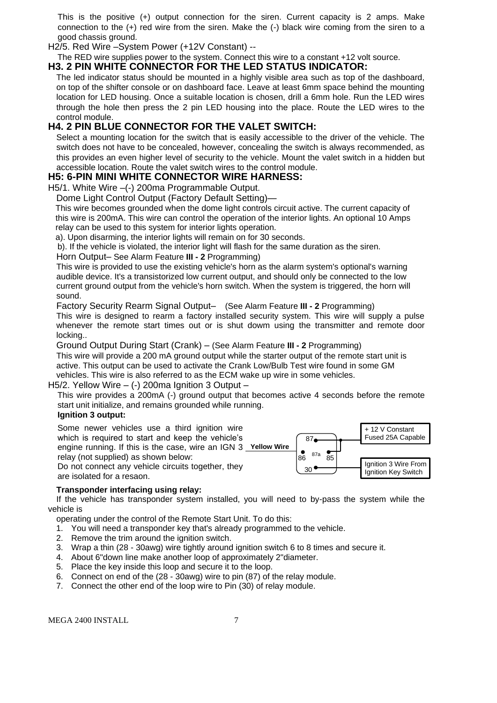This is the positive (+) output connection for the siren. Current capacity is 2 amps. Make connection to the (+) red wire from the siren. Make the (-) black wire coming from the siren to a good chassis ground.

H2/5. Red Wire –System Power (+12V Constant) --

#### The RED wire supplies power to the system. Connect this wire to a constant +12 volt source. **H3. 2 PIN WHITE CONNECTOR FOR THE LED STATUS INDICATOR:**

The led indicator status should be mounted in a highly visible area such as top of the dashboard, on top of the shifter console or on dashboard face. Leave at least 6mm space behind the mounting location for LED housing. Once a suitable location is chosen, drill a 6mm hole. Run the LED wires through the hole then press the 2 pin LED housing into the place. Route the LED wires to the control module.

# **H4. 2 PIN BLUE CONNECTOR FOR THE VALET SWITCH:**

Select a mounting location for the switch that is easily accessible to the driver of the vehicle. The switch does not have to be concealed, however, concealing the switch is always recommended, as this provides an even higher level of security to the vehicle. Mount the valet switch in a hidden but accessible location. Route the valet switch wires to the control module.

# **H5: 6-PIN MINI WHITE CONNECTOR WIRE HARNESS:**

H5/1. White Wire –(-) 200ma Programmable Output.

Dome Light Control Output (Factory Default Setting)—

This wire becomes grounded when the dome light controls circuit active. The current capacity of this wire is 200mA. This wire can control the operation of the interior lights. An optional 10 Amps relay can be used to this system for interior lights operation.

a). Upon disarming, the interior lights will remain on for 30 seconds.

b). If the vehicle is violated, the interior light will flash for the same duration as the siren.

#### Horn Output– See Alarm Feature **III - 2** Programming)

This wire is provided to use the existing vehicle's horn as the alarm system's optional's warning audible device. It's a transistorized low current output, and should only be connected to the low current ground output from the vehicle's horn switch. When the system is triggered, the horn will sound.

Factory Security Rearm Signal Output– (See Alarm Feature **III - 2** Programming)

This wire is designed to rearm a factory installed security system. This wire will supply a pulse whenever the remote start times out or is shut dowm using the transmitter and remote door locking..

Ground Output During Start (Crank) – (See Alarm Feature **III - 2** Programming)

This wire will provide a 200 mA ground output while the starter output of the remote start unit is active. This output can be used to activate the Crank Low/Bulb Test wire found in some GM vehicles. This wire is also referred to as the ECM wake up wire in some vehicles.

# H5/2. Yellow Wire  $-$  (-) 200ma Ignition 3 Output  $-$

This wire provides a 200mA (-) ground output that becomes active 4 seconds before the remote start unit initialize, and remains grounded while running.

#### **Ignition 3 output:**

Some newer vehicles use a third ignition wire which is required to start and keep the vehicle's engine running. If this is the case, wire an IGN 3 **Yellow Wire** relay (not supplied) as shown below: Do not connect any vehicle circuits together, they are isolated for a resaon.



# **Transponder interfacing using relay:**

 If the vehicle has transponder system installed, you will need to by-pass the system while the vehicle is

operating under the control of the Remote Start Unit. To do this:

- 1. You will need a transponder key that's already programmed to the vehicle.
- 2. Remove the trim around the ignition switch.
- 3. Wrap a thin (28 30awg) wire tightly around ignition switch 6 to 8 times and secure it.
- 4. About 6"down line make another loop of approximately 2"diameter.
- 5. Place the key inside this loop and secure it to the loop.
- 6. Connect on end of the (28 30awg) wire to pin (87) of the relay module.
- 7. Connect the other end of the loop wire to Pin (30) of relay module.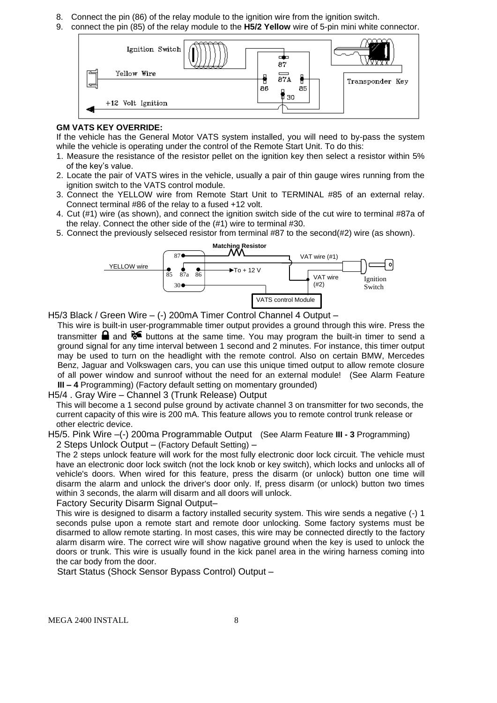- 8. Connect the pin (86) of the relay module to the ignition wire from the ignition switch.
- 9. connect the pin (85) of the relay module to the **H5/2 Yellow** wire of 5-pin mini white connector.



#### **GM VATS KEY OVERRIDE:**

If the vehicle has the General Motor VATS system installed, you will need to by-pass the system while the vehicle is operating under the control of the Remote Start Unit. To do this:

- 1. Measure the resistance of the resistor pellet on the ignition key then select a resistor within 5% of the key's value.
- 2. Locate the pair of VATS wires in the vehicle, usually a pair of thin gauge wires running from the ignition switch to the VATS control module.
- 3. Connect the YELLOW wire from Remote Start Unit to TERMINAL #85 of an external relay. Connect terminal #86 of the relay to a fused +12 volt.
- 4. Cut (#1) wire (as shown), and connect the ignition switch side of the cut wire to terminal #87a of the relay. Connect the other side of the (#1) wire to terminal #30.
- 5. Connect the previously selseced resistor from terminal #87 to the second(#2) wire (as shown).



H5/3 Black / Green Wire – (-) 200mA Timer Control Channel 4 Output –

This wire is built-in user-programmable timer output provides a ground through this wire. Press the transmitter **a** and  $\mathcal{F}$  buttons at the same time. You may program the built-in timer to send a ground signal for any time interval between 1 second and 2 minutes. For instance, this timer output may be used to turn on the headlight with the remote control. Also on certain BMW, Mercedes Benz, Jaguar and Volkswagen cars, you can use this unique timed output to allow remote closure of all power window and sunroof without the need for an external module! (See Alarm Feature **III – 4** Programming) (Factory default setting on momentary grounded)

#### H5/4 . Gray Wire – Channel 3 (Trunk Release) Output

This will become a 1 second pulse ground by activate channel 3 on transmitter for two seconds, the current capacity of this wire is 200 mA. This feature allows you to remote control trunk release or other electric device.

H5/5. Pink Wire –(-) 200ma Programmable Output (See Alarm Feature **III - 3** Programming) 2 Steps Unlock Output – (Factory Default Setting) –

The 2 steps unlock feature will work for the most fully electronic door lock circuit. The vehicle must have an electronic door lock switch (not the lock knob or key switch), which locks and unlocks all of vehicle's doors. When wired for this feature, press the disarm (or unlock) button one time will disarm the alarm and unlock the driver's door only. If, press disarm (or unlock) button two times within 3 seconds, the alarm will disarm and all doors will unlock.

Factory Security Disarm Signal Output–

This wire is designed to disarm a factory installed security system. This wire sends a negative (-) 1 seconds pulse upon a remote start and remote door unlocking. Some factory systems must be disarmed to allow remote starting. In most cases, this wire may be connected directly to the factory alarm disarm wire. The correct wire will show nagative ground when the key is used to unlock the doors or trunk. This wire is usually found in the kick panel area in the wiring harness coming into the car body from the door.

Start Status (Shock Sensor Bypass Control) Output –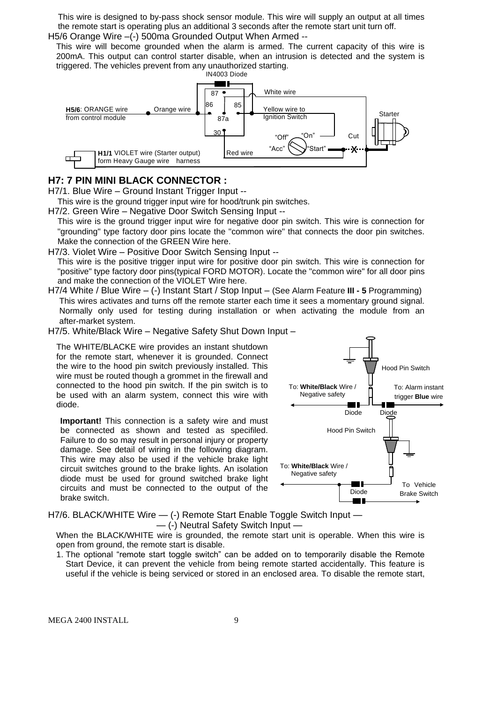This wire is designed to by-pass shock sensor module. This wire will supply an output at all times the remote start is operating plus an additional 3 seconds after the remote start unit turn off. H5/6 Orange Wire -(-) 500ma Grounded Output When Armed --

This wire will become grounded when the alarm is armed. The current capacity of this wire is 200mA. This output can control starter disable, when an intrusion is detected and the system is triggered. The vehicles prevent from any unauthorized starting.



#### **H7: 7 PIN MINI BLACK CONNECTOR :**

H7/1. Blue Wire – Ground Instant Trigger Input --

This wire is the ground trigger input wire for hood/trunk pin switches.

H7/2. Green Wire – Negative Door Switch Sensing Input --

This wire is the ground trigger input wire for negative door pin switch. This wire is connection for "grounding" type factory door pins locate the "common wire" that connects the door pin switches. Make the connection of the GREEN Wire here.

H7/3. Violet Wire – Positive Door Switch Sensing Input --

This wire is the positive trigger input wire for positive door pin switch. This wire is connection for "positive" type factory door pins(typical FORD MOTOR). Locate the "common wire" for all door pins and make the connection of the VIOLET Wire here.

H7/4 White / Blue Wire – (-) Instant Start / Stop Input – (See Alarm Feature **III - 5** Programming) This wires activates and turns off the remote starter each time it sees a momentary ground signal. Normally only used for testing during installation or when activating the module from an after-market system.

H7/5. White/Black Wire – Negative Safety Shut Down Input –

The WHITE/BLACKE wire provides an instant shutdown for the remote start, whenever it is grounded. Connect the wire to the hood pin switch previously installed. This wire must be routed though a grommet in the firewall and connected to the hood pin switch. If the pin switch is to be used with an alarm system, connect this wire with diode.

**Important!** This connection is a safety wire and must be connected as shown and tested as specifiled. Failure to do so may result in personal injury or property damage. See detail of wiring in the following diagram. This wire may also be used if the vehicle brake light circuit switches ground to the brake lights. An isolation diode must be used for ground switched brake light circuits and must be connected to the output of the brake switch.



H7/6. BLACK/WHITE Wire  $-$  (-) Remote Start Enable Toggle Switch Input  $-$ — (-) Neutral Safety Switch Input —

When the BLACK/WHITE wire is grounded, the remote start unit is operable. When this wire is open from ground, the remote start is disable.

1. The optional "remote start toggle switch" can be added on to temporarily disable the Remote Start Device, it can prevent the vehicle from being remote started accidentally. This feature is useful if the vehicle is being serviced or stored in an enclosed area. To disable the remote start,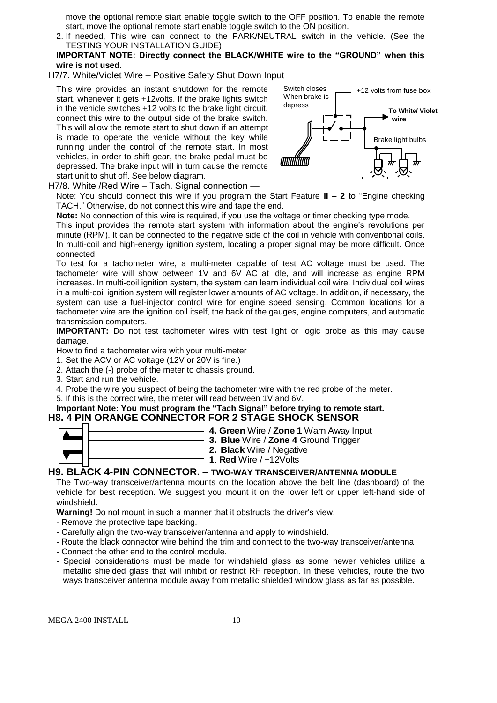move the optional remote start enable toggle switch to the OFF position. To enable the remote start, move the optional remote start enable toggle switch to the ON position.

- 2. If needed, This wire can connect to the PARK/NEUTRAL switch in the vehicle. (See the TESTING YOUR INSTALLATION GUIDE)
- **IMPORTANT NOTE: Directly connect the BLACK/WHITE wire to the "GROUND" when this wire is not used.**
- H7/7. White/Violet Wire Positive Safety Shut Down Input

This wire provides an instant shutdown for the remote start, whenever it gets +12volts. If the brake lights switch in the vehicle switches +12 volts to the brake light circuit, connect this wire to the output side of the brake switch. This will allow the remote start to shut down if an attempt is made to operate the vehicle without the key while running under the control of the remote start. In most vehicles, in order to shift gear, the brake pedal must be depressed. The brake input will in turn cause the remote start unit to shut off. See below diagram.



H7/8. White /Red Wire – Tach. Signal connection —

Note: You should connect this wire if you program the Start Feature **II – 2** to "Engine checking TACH." Otherwise, do not connect this wire and tape the end.

**Note:** No connection of this wire is required, if you use the voltage or timer checking type mode.

This input provides the remote start system with information about the engine's revolutions per minute (RPM). It can be connected to the negative side of the coil in vehicle with conventional coils. In multi-coil and high-energy ignition system, locating a proper signal may be more difficult. Once connected,

To test for a tachometer wire, a multi-meter capable of test AC voltage must be used. The tachometer wire will show between 1V and 6V AC at idle, and will increase as engine RPM increases. In multi-coil ignition system, the system can learn individual coil wire. Individual coil wires in a multi-coil ignition system will register lower amounts of AC voltage. In addition, if necessary, the system can use a fuel-injector control wire for engine speed sensing. Common locations for a tachometer wire are the ignition coil itself, the back of the gauges, engine computers, and automatic transmission computers.

**IMPORTANT:** Do not test tachometer wires with test light or logic probe as this may cause damage.

How to find a tachometer wire with your multi-meter

- 1. Set the ACV or AC voltage (12V or 20V is fine.)
- 2. Attach the (-) probe of the meter to chassis ground.
- 3. Start and run the vehicle.

4. Probe the wire you suspect of being the tachometer wire with the red probe of the meter.

5. If this is the correct wire, the meter will read between 1V and 6V.

#### **Important Note: You must program the "Tach Signal" before trying to remote start. H8. 4 PIN ORANGE CONNECTOR FOR 2 STAGE SHOCK SENSOR**



**2. Black** Wire / Negative **1**. **Red** Wire / +12Volts

#### **H9. BLACK 4-PIN CONNECTOR. – TWO-WAY TRANSCEIVER/ANTENNA MODULE**

The Two-way transceiver/antenna mounts on the location above the belt line (dashboard) of the vehicle for best reception. We suggest you mount it on the lower left or upper left-hand side of windshield.

**Warning!** Do not mount in such a manner that it obstructs the driver's view.

- Remove the protective tape backing.
- Carefully align the two-way transceiver/antenna and apply to windshield.
- Route the black connector wire behind the trim and connect to the two-way transceiver/antenna.
- Connect the other end to the control module.
- Special considerations must be made for windshield glass as some newer vehicles utilize a metallic shielded glass that will inhibit or restrict RF reception. In these vehicles, route the two ways transceiver antenna module away from metallic shielded window glass as far as possible.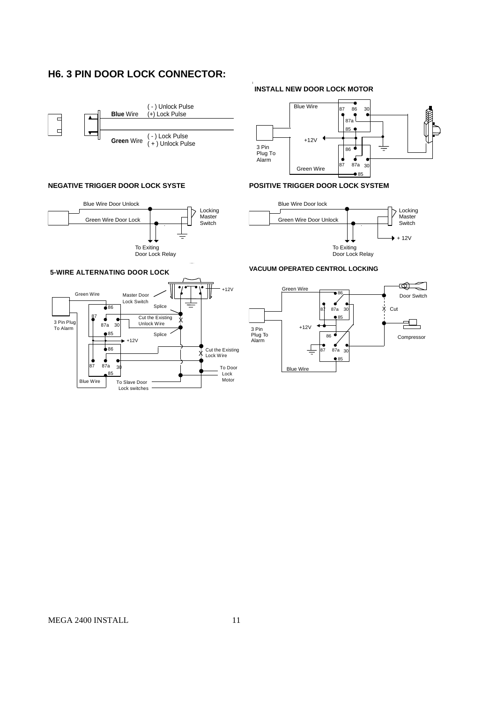# **H6. 3 PIN DOOR LOCK CONNECTOR:**



#### **NEGATIVE TRIGGER DOOR LOCK SYSTE**



# **INSTALL NEW DOOR LOCK MOTOR**



#### **POSITIVE TRIGGER DOOR LOCK SYSTEM**



#### **VACUUM OPERATED CENTROL LOCKING**



#### **5-WIRE ALTERNATING DOOR LOCK**

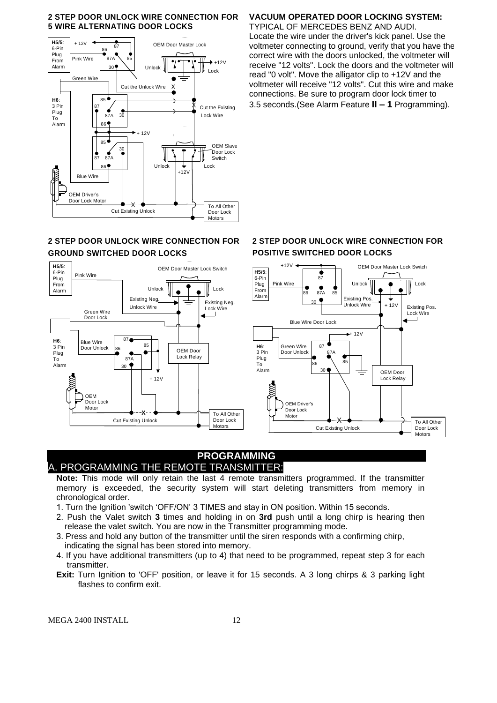#### **2 STEP DOOR UNLOCK WIRE CONNECTION FOR 5 WIRE ALTERNATING DOOR LOCKS**



#### **2 STEP DOOR UNLOCK WIRE CONNECTION FOR GROUND SWITCHED DOOR LOCKS**



# **VACUUM OPERATED DOOR LOCKING SYSTEM:**

TYPICAL OF MERCEDES BENZ AND AUDI. Locate the wire under the driver's kick panel. Use the voltmeter connecting to ground, verify that you have the correct wire with the doors unlocked, the voltmeter will receive "12 volts". Lock the doors and the voltmeter will read "0 volt". Move the alligator clip to +12V and the voltmeter will receive "12 volts". Cut this wire and make connections. Be sure to program door lock timer to 3.5 seconds.(See Alarm Feature **II – 1** Programming).

# **2 STEP DOOR UNLOCK WIRE CONNECTION FOR POSITIVE SWITCHED DOOR LOCKS**



# **PROGRAMMING** A. PROGRAMMING THE REMOTE TRANSMITTER:

**Note:** This mode will only retain the last 4 remote transmitters programmed. If the transmitter memory is exceeded, the security system will start deleting transmitters from memory in chronological order.

- 1. Turn the Ignition 'switch 'OFF/ON' 3 TIMES and stay in ON position. Within 15 seconds.
- 2. Push the Valet switch **3** times and holding in on **3rd** push until a long chirp is hearing then release the valet switch. You are now in the Transmitter programming mode.
- 3. Press and hold any button of the transmitter until the siren responds with a confirming chirp, indicating the signal has been stored into memory.
- 4. If you have additional transmitters (up to 4) that need to be programmed, repeat step 3 for each transmitter.
- **Exit:** Turn Ignition to 'OFF' position, or leave it for 15 seconds. A 3 long chirps & 3 parking light flashes to confirm exit.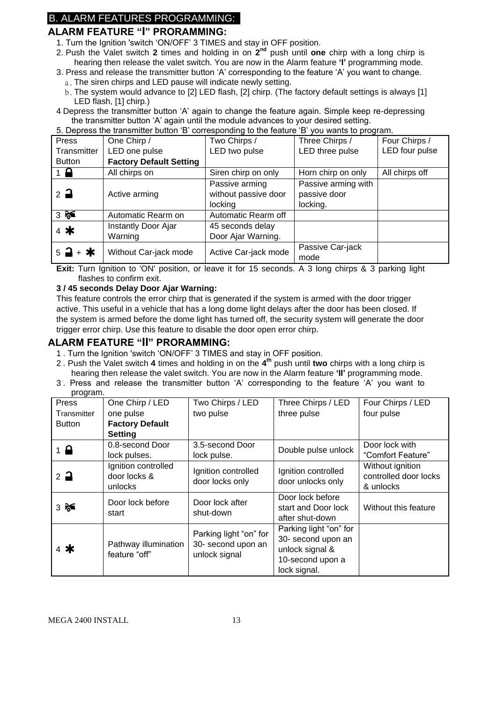# B. ALARM FEATURES PROGRAMMING:

# **ALARM FEATURE "I" PRORAMMING:**

- 1. Turn the Ignition 'switch 'ON/OFF' 3 TIMES and stay in OFF position.
- 2. Push the Valet switch 2 times and holding in on 2<sup>nd</sup> push until one chirp with a long chirp is hearing then release the valet switch. You are now in the Alarm feature **'I'** programming mode.
- 3. Press and release the transmitter button 'A' corresponding to the feature 'A' you want to change.
	- a. The siren chirps and LED pause will indicate newly setting.
	- b.The system would advance to [2] LED flash, [2] chirp. (The factory default settings is always [1] LED flash, [1] chirp.)
- 4 Depress the transmitter button 'A' again to change the feature again. Simple keep re-depressing the transmitter button 'A' again until the module advances to your desired setting.

| 5. Depress the transmitter button 'B' corresponding to the feature 'B' you wants to program. |                                |                      |                     |                |
|----------------------------------------------------------------------------------------------|--------------------------------|----------------------|---------------------|----------------|
| Press                                                                                        | One Chirp /                    | Two Chirps /         | Three Chirps /      | Four Chirps /  |
| Transmitter                                                                                  | LED one pulse                  | LED two pulse        | LED three pulse     | LED four pulse |
| <b>Button</b>                                                                                | <b>Factory Default Setting</b> |                      |                     |                |
| $1 \nightharpoonup$                                                                          | All chirps on                  | Siren chirp on only  | Horn chirp on only  | All chirps off |
|                                                                                              |                                | Passive arming       | Passive arming with |                |
| $2\overline{a}$                                                                              | Active arming                  | without passive door | passive door        |                |
|                                                                                              |                                | locking              | locking.            |                |
| 35                                                                                           | Automatic Rearm on             | Automatic Rearm off  |                     |                |
| 4 米                                                                                          | Instantly Door Ajar            | 45 seconds delay     |                     |                |
|                                                                                              | Warning                        | Door Ajar Warning.   |                     |                |
| $5 - 1 + *$                                                                                  | Without Car-jack mode          | Active Car-jack mode | Passive Car-jack    |                |
|                                                                                              |                                |                      | mode                |                |

**Exit:** Turn Ignition to 'ON' position, or leave it for 15 seconds. A 3 long chirps & 3 parking light flashes to confirm exit.

#### **3 / 45 seconds Delay Door Ajar Warning:**

This feature controls the error chirp that is generated if the system is armed with the door trigger active. This useful in a vehicle that has a long dome light delays after the door has been closed. If the system is armed before the dome light has turned off, the security system will generate the door trigger error chirp. Use this feature to disable the door open error chirp.

# **ALARM FEATURE "II" PRORAMMING:**

- 1 . Turn the Ignition 'switch 'ON/OFF' 3 TIMES and stay in OFF position.
- 2 . Push the Valet switch **4** times and holding in on the **4 th** push until **two** chirps with a long chirp is hearing then release the valet switch. You are now in the Alarm feature **'II'** programming mode.
- 3 . Press and release the transmitter button 'A' corresponding to the feature 'A' you want to program.

| Press           | One Chirp / LED                                | Two Chirps / LED                                              | Three Chirps / LED                                                                                  | Four Chirps / LED                                      |
|-----------------|------------------------------------------------|---------------------------------------------------------------|-----------------------------------------------------------------------------------------------------|--------------------------------------------------------|
| Transmitter     | one pulse                                      | two pulse                                                     | three pulse                                                                                         | four pulse                                             |
| <b>Button</b>   | <b>Factory Default</b>                         |                                                               |                                                                                                     |                                                        |
|                 | <b>Setting</b>                                 |                                                               |                                                                                                     |                                                        |
| $1 \bigoplus$   | 0.8-second Door                                | 3.5-second Door                                               |                                                                                                     | Door lock with                                         |
|                 | lock pulses.                                   | lock pulse.                                                   | Double pulse unlock                                                                                 | "Comfort Feature"                                      |
| $2\overline{a}$ | Ignition controlled<br>door locks &<br>unlocks | Ignition controlled<br>door locks only                        | Ignition controlled<br>door unlocks only                                                            | Without ignition<br>controlled door locks<br>& unlocks |
| 356             | Door lock before<br>start                      | Door lock after<br>shut-down                                  | Door lock before<br>start and Door lock<br>after shut-down                                          | Without this feature                                   |
| $4*$            | Pathway illumination<br>feature "off"          | Parking light "on" for<br>30- second upon an<br>unlock signal | Parking light "on" for<br>30- second upon an<br>unlock signal &<br>10-second upon a<br>lock signal. |                                                        |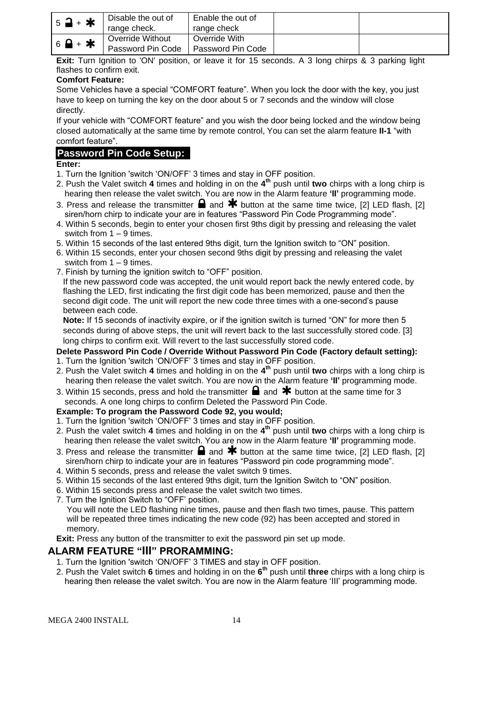| $5$ <b>a</b> + $\star$      | Disable the out of<br>range check.    | Enable the out of<br>range check   |  |
|-----------------------------|---------------------------------------|------------------------------------|--|
| $6$ $\rightarrow$ $\bullet$ | Override Without<br>Password Pin Code | Override With<br>Password Pin Code |  |

**Exit:** Turn Ignition to 'ON' position, or leave it for 15 seconds. A 3 long chirps & 3 parking light flashes to confirm exit.

#### **Comfort Feature:**

Some Vehicles have a special "COMFORT feature". When you lock the door with the key, you just have to keep on turning the key on the door about 5 or 7 seconds and the window will close directly.

If your vehicle with "COMFORT feature" and you wish the door being locked and the window being closed automatically at the same time by remote control, You can set the alarm feature **II-1** "with comfort feature".

# **Password Pin Code Setup:**

# **Enter:**

- 1. Turn the Ignition 'switch 'ON/OFF' 3 times and stay in OFF position.
- 2. Push the Valet switch **4** times and holding in on the **4 th** push until **two** chirps with a long chirp is hearing then release the valet switch. You are now in the Alarm feature **'II'** programming mode.
- 3. Press and release the transmitter  $\blacksquare$  and  $\blacktriangleright$  button at the same time twice, [2] LED flash, [2] siren/horn chirp to indicate your are in features "Password Pin Code Programming mode".
- 4. Within 5 seconds, begin to enter your chosen first 9ths digit by pressing and releasing the valet switch from 1 – 9 times.
- 5. Within 15 seconds of the last entered 9ths digit, turn the Ignition switch to "ON" position.
- 6. Within 15 seconds, enter your chosen second 9ths digit by pressing and releasing the valet switch from 1 – 9 times.
- 7. Finish by turning the ignition switch to "OFF" position.

If the new password code was accepted, the unit would report back the newly entered code, by flashing the LED, first indicating the first digit code has been memorized, pause and then the second digit code. The unit will report the new code three times with a one-second's pause between each code.

**Note:** If 15 seconds of inactivity expire, or if the ignition switch is turned "ON" for more then 5 seconds during of above steps, the unit will revert back to the last successfully stored code. [3] long chirps to confirm exit. Will revert to the last successfully stored code.

# **Delete Password Pin Code / Override Without Password Pin Code (Factory default setting):**

- 1. Turn the Ignition 'switch 'ON/OFF' 3 times and stay in OFF position.
- 2. Push the Valet switch **4** times and holding in on the **4 th** push until **two** chirps with a long chirp is hearing then release the valet switch. You are now in the Alarm feature **'II'** programming mode.
- 3. Within 15 seconds, press and hold the transmitter  $\Box$  and  $\bigstar$  button at the same time for 3 seconds. A one long chirps to confirm Deleted the Password Pin Code.

#### **Example: To program the Password Code 92, you would;**

- 1. Turn the Ignition 'switch 'ON/OFF' 3 times and stay in OFF position.
- 2. Push the valet switch **4** times and holding in on the **4 th** push until **two** chirps with a long chirp is hearing then release the valet switch. You are now in the Alarm feature **'II'** programming mode.
- 3. Press and release the transmitter  $\blacksquare$  and  $\clubsuit$  button at the same time twice, [2] LED flash, [2] siren/horn chirp to indicate your are in features "Password pin code programming mode".
- 4. Within 5 seconds, press and release the valet switch 9 times.
- 5. Within 15 seconds of the last entered 9ths digit, turn the Ignition Switch to "ON" position.
- 6. Within 15 seconds press and release the valet switch two times.
- 7. Turn the Ignition Switch to "OFF' position.

**Exit:** Press any button of the transmitter to exit the password pin set up mode.

# **ALARM FEATURE "III" PRORAMMING:**

- 1. Turn the Ignition 'switch 'ON/OFF' 3 TIMES and stay in OFF position.
- 2. Push the Valet switch **6** times and holding in on the **6 th** push until **three** chirps with a long chirp is hearing then release the valet switch. You are now in the Alarm feature 'III' programming mode.

You will note the LED flashing nine times, pause and then flash two times, pause. This pattern will be repeated three times indicating the new code (92) has been accepted and stored in memory.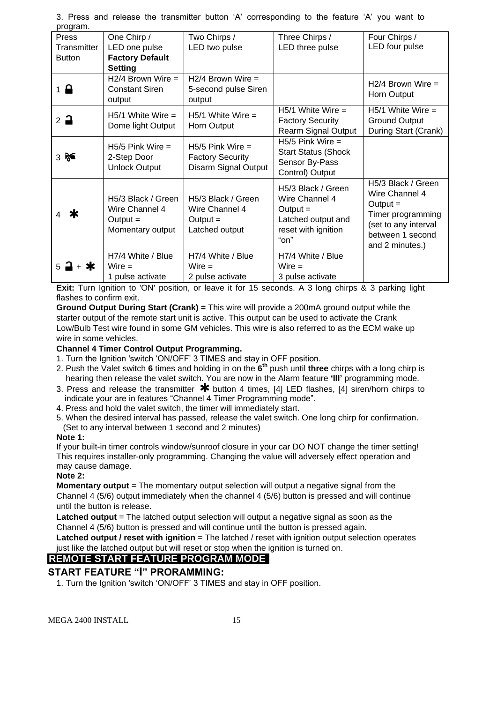| program.              |                        |                         |                            |                      |
|-----------------------|------------------------|-------------------------|----------------------------|----------------------|
| Press                 | One Chirp /            | Two Chirps /            | Three Chirps /             | Four Chirps /        |
| Transmitter           | LED one pulse          | LED two pulse           | LED three pulse            | LED four pulse       |
| <b>Button</b>         | <b>Factory Default</b> |                         |                            |                      |
|                       | <b>Setting</b>         |                         |                            |                      |
|                       | $H2/4$ Brown Wire =    | $H2/4$ Brown Wire =     |                            | $H2/4$ Brown Wire =  |
| $1 \nightharpoonup$   | <b>Constant Siren</b>  | 5-second pulse Siren    |                            |                      |
|                       | output                 | output                  |                            | Horn Output          |
|                       | $H5/1$ White Wire =    | $H5/1$ White Wire =     | $H5/1$ White Wire =        | $H5/1$ White Wire =  |
| $2\rightarrow$        |                        |                         | <b>Factory Security</b>    | <b>Ground Output</b> |
|                       | Dome light Output      | Horn Output             | <b>Rearm Signal Output</b> | During Start (Crank) |
|                       | $H5/5$ Pink Wire $=$   | $H5/5$ Pink Wire =      | $H5/5$ Pink Wire =         |                      |
| $3 \approx$           | 2-Step Door            | <b>Factory Security</b> | <b>Start Status (Shock</b> |                      |
|                       | <b>Unlock Output</b>   | Disarm Signal Output    | Sensor By-Pass             |                      |
|                       |                        |                         | Control) Output            |                      |
|                       |                        |                         | H5/3 Black / Green         | H5/3 Black / Green   |
|                       | H5/3 Black / Green     | H5/3 Black / Green      | Wire Channel 4             | Wire Channel 4       |
|                       | Wire Channel 4         | Wire Channel 4          | Output $=$                 | $Output =$           |
| Ж                     | Output $=$             | $Output =$              | Latched output and         | Timer programming    |
|                       | Momentary output       | Latched output          | reset with ignition        | (set to any interval |
|                       |                        |                         | "on"                       | between 1 second     |
|                       |                        |                         |                            | and 2 minutes.)      |
|                       | H7/4 White / Blue      | H7/4 White / Blue       | H7/4 White / Blue          |                      |
| + *<br>$5\rightarrow$ | $Wire =$               | $Wire =$                | $Wire =$                   |                      |
|                       | 1 pulse activate       | 2 pulse activate        | 3 pulse activate           |                      |

3. Press and release the transmitter button 'A' corresponding to the feature 'A' you want to program.

**Exit:** Turn Ignition to 'ON' position, or leave it for 15 seconds. A 3 long chirps & 3 parking light flashes to confirm exit.

**Ground Output During Start (Crank) =** This wire will provide a 200mA ground output while the starter output of the remote start unit is active. This output can be used to activate the Crank Low/Bulb Test wire found in some GM vehicles. This wire is also referred to as the ECM wake up wire in some vehicles.

#### **Channel 4 Timer Control Output Programming.**

- 1. Turn the Ignition 'switch 'ON/OFF' 3 TIMES and stay in OFF position.
- 2. Push the Valet switch **6** times and holding in on the **6 th** push until **three** chirps with a long chirp is hearing then release the valet switch. You are now in the Alarm feature **'III'** programming mode.
- 3. Press and release the transmitter  $*$  button 4 times, [4] LED flashes, [4] siren/horn chirps to indicate your are in features "Channel 4 Timer Programming mode".
- 4. Press and hold the valet switch, the timer will immediately start.
- 5. When the desired interval has passed, release the valet switch. One long chirp for confirmation.
- (Set to any interval between 1 second and 2 minutes)

#### **Note 1:**

If your built-in timer controls window/sunroof closure in your car DO NOT change the timer setting! This requires installer-only programming. Changing the value will adversely effect operation and may cause damage.

#### **Note 2:**

**Momentary output** = The momentary output selection will output a negative signal from the Channel 4 (5/6) output immediately when the channel 4 (5/6) button is pressed and will continue until the button is release.

**Latched output** = The latched output selection will output a negative signal as soon as the Channel 4 (5/6) button is pressed and will continue until the button is pressed again.

**Latched output / reset with ignition** = The latched / reset with ignition output selection operates just like the latched output but will reset or stop when the ignition is turned on.

# **REMOTE START FEATURE PROGRAM MODE**

# **START FEATURE "I" PRORAMMING:**

1. Turn the Ignition 'switch 'ON/OFF' 3 TIMES and stay in OFF position.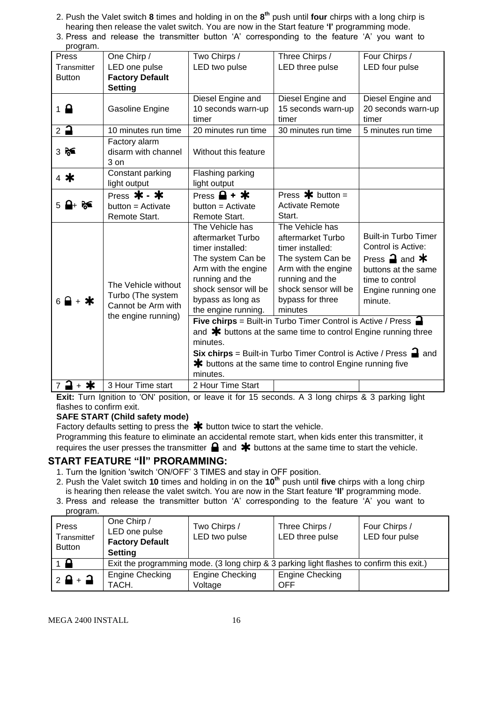- 2. Push the Valet switch **8** times and holding in on the **8 th** push until **four** chirps with a long chirp is hearing then release the valet switch. You are now in the Start feature **'I'** programming mode.
- 3. Press and release the transmitter button 'A' corresponding to the feature 'A' you want to

| program.                        |                                                                |                                                                                       |                        |                                                |
|---------------------------------|----------------------------------------------------------------|---------------------------------------------------------------------------------------|------------------------|------------------------------------------------|
| Press                           | One Chirp /                                                    | Two Chirps /                                                                          | Three Chirps /         | Four Chirps /                                  |
| Transmitter                     | LED one pulse                                                  | LED two pulse                                                                         | LED three pulse        | LED four pulse                                 |
| <b>Button</b>                   | <b>Factory Default</b>                                         |                                                                                       |                        |                                                |
|                                 | <b>Setting</b>                                                 |                                                                                       |                        |                                                |
|                                 |                                                                | Diesel Engine and                                                                     | Diesel Engine and      | Diesel Engine and                              |
| $1 \nightharpoonup$             | Gasoline Engine                                                | 10 seconds warn-up                                                                    | 15 seconds warn-up     | 20 seconds warn-up                             |
|                                 |                                                                | timer                                                                                 | timer                  | timer                                          |
| $2$ $\rightarrow$               | 10 minutes run time                                            | 20 minutes run time                                                                   | 30 minutes run time    | 5 minutes run time                             |
|                                 | Factory alarm                                                  |                                                                                       |                        |                                                |
| 356                             | disarm with channel                                            | Without this feature                                                                  |                        |                                                |
|                                 | $3$ on                                                         |                                                                                       |                        |                                                |
| 4 米                             | Constant parking                                               | Flashing parking                                                                      |                        |                                                |
|                                 | light output                                                   | light output                                                                          |                        |                                                |
|                                 | Press $* - *$                                                  | Press $\mathbf{\Theta}$ + $\mathbf{\ast}$                                             | Press $\ast$ button =  |                                                |
|                                 | $button = Active$                                              | button = Activate                                                                     | <b>Activate Remote</b> |                                                |
|                                 | Remote Start.                                                  | Remote Start.                                                                         | Start.                 |                                                |
|                                 |                                                                | The Vehicle has                                                                       | The Vehicle has        |                                                |
|                                 |                                                                | aftermarket Turbo                                                                     | aftermarket Turbo      | <b>Built-in Turbo Timer</b>                    |
|                                 |                                                                | timer installed:                                                                      | timer installed:       | Control is Active:                             |
|                                 |                                                                | The system Can be                                                                     | The system Can be      | Press $\mathbf{\supseteq}$ and $\mathbf{\ast}$ |
|                                 |                                                                | Arm with the engine                                                                   | Arm with the engine    | buttons at the same                            |
|                                 | The Vehicle without                                            | running and the                                                                       | running and the        | time to control                                |
|                                 |                                                                | shock sensor will be                                                                  | shock sensor will be   | Engine running one                             |
| $6$ $\rightarrow$ $\rightarrow$ | Turbo (The system<br>Cannot be Arm with<br>the engine running) | bypass as long as                                                                     | bypass for three       | minute.                                        |
|                                 |                                                                | the engine running.                                                                   | minutes                |                                                |
|                                 |                                                                | Five chirps = Built-in Turbo Timer Control is Active / Press =                        |                        |                                                |
|                                 |                                                                | and $*$ buttons at the same time to control Engine running three                      |                        |                                                |
|                                 |                                                                | minutes.                                                                              |                        |                                                |
|                                 |                                                                | <b>Six chirps</b> = Built-in Turbo Timer Control is Active / Press $\blacksquare$ and |                        |                                                |
|                                 |                                                                | <b>*</b> buttons at the same time to control Engine running five                      |                        |                                                |
| minutes.                        |                                                                |                                                                                       |                        |                                                |
| ⊒ + ≭<br>$\overline{7}$         | 3 Hour Time start                                              | 2 Hour Time Start                                                                     |                        |                                                |

**Exit:** Turn Ignition to 'ON' position, or leave it for 15 seconds. A 3 long chirps & 3 parking light flashes to confirm exit.

# **SAFE START (Child safety mode)**

Factory defaults setting to press the  $*$  button twice to start the vehicle.

Programming this feature to eliminate an accidental remote start, when kids enter this transmitter, it requires the user presses the transmitter  $\blacksquare$  and  $\blacktriangleright$  buttons at the same time to start the vehicle.

# **START FEATURE "II" PRORAMMING:**

- 1. Turn the Ignition 'switch 'ON/OFF' 3 TIMES and stay in OFF position.
- 2. Push the Valet switch **10** times and holding in on the **10th** push until **five** chirps with a long chirp is hearing then release the valet switch. You are now in the Start feature **'II'** programming mode.
- 3. Press and release the transmitter button 'A' corresponding to the feature 'A' you want to program.

| Press<br>Transmitter<br><b>Button</b> | One Chirp /<br>LED one pulse<br><b>Factory Default</b><br><b>Setting</b>                  | Two Chirps /<br>LED two pulse     | Three Chirps /<br>LED three pulse | Four Chirps /<br>LED four pulse |
|---------------------------------------|-------------------------------------------------------------------------------------------|-----------------------------------|-----------------------------------|---------------------------------|
| $1 \bullet$                           | Exit the programming mode. (3 long chirp & 3 parking light flashes to confirm this exit.) |                                   |                                   |                                 |
| $2$ $\theta$ + $\theta$               | Engine Checking<br>TACH.                                                                  | <b>Engine Checking</b><br>Voltage | Engine Checking<br><b>OFF</b>     |                                 |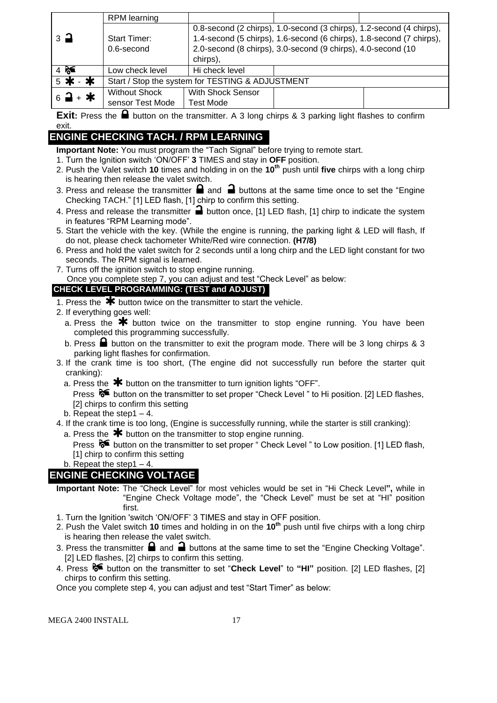|                               | RPM learning         |                                                                      |                                                              |  |
|-------------------------------|----------------------|----------------------------------------------------------------------|--------------------------------------------------------------|--|
|                               |                      | 0.8-second (2 chirps), 1.0-second (3 chirps), 1.2-second (4 chirps), |                                                              |  |
| $\overline{3}$ $\overline{4}$ | Start Timer:         | 1.4-second (5 chirps), 1.6-second (6 chirps), 1.8-second (7 chirps), |                                                              |  |
|                               | $0.6$ -second        |                                                                      | 2.0-second (8 chirps), 3.0-second (9 chirps), 4.0-second (10 |  |
|                               |                      | chirps),                                                             |                                                              |  |
| $4$ $\approx$                 | Low check level      | Hi check level                                                       |                                                              |  |
| 5 米 - 米                       |                      | Start / Stop the system for TESTING & ADJUSTMENT                     |                                                              |  |
| $6 - 4$                       | <b>Without Shock</b> | <b>With Shock Sensor</b>                                             |                                                              |  |
|                               | sensor Test Mode     | <b>Test Mode</b>                                                     |                                                              |  |

**Exit:** Press the **a** button on the transmitter. A 3 long chirps & 3 parking light flashes to confirm exit.

# **ENGINE CHECKING TACH. / RPM LEARNING**

**Important Note:** You must program the "Tach Signal" before trying to remote start.

- 1. Turn the Ignition switch 'ON/OFF' **3** TIMES and stay in **OFF** position.
- 2. Push the Valet switch **10** times and holding in on the **10th** push until **five** chirps with a long chirp is hearing then release the valet switch.
- 3. Press and release the transmitter  $\blacksquare$  and  $\blacksquare$  buttons at the same time once to set the "Engine Checking TACH." [1] LED flash, [1] chirp to confirm this setting.
- 4. Press and release the transmitter **a** button once, [1] LED flash, [1] chirp to indicate the system in features "RPM Learning mode".
- 5. Start the vehicle with the key. (While the engine is running, the parking light & LED will flash, If do not, please check tachometer White/Red wire connection. **(H7/8)**
- 6. Press and hold the valet switch for 2 seconds until a long chirp and the LED light constant for two seconds. The RPM signal is learned.
- 7. Turns off the ignition switch to stop engine running.

Once you complete step 7, you can adjust and test "Check Level" as below:

# **CHECK LEVEL PROGRAMMING: (TEST and ADJUST)**

- 1. Press the  $*$  button twice on the transmitter to start the vehicle.
- 2. If everything goes well:
	- a. Press the  $\clubsuit$  button twice on the transmitter to stop engine running. You have been completed this programming successfully.
	- b. Press  $\blacksquare$  button on the transmitter to exit the program mode. There will be 3 long chirps & 3 parking light flashes for confirmation.
- 3. If the crank time is too short, (The engine did not successfully run before the starter quit cranking):
	- a. Press the  $*$  button on the transmitter to turn ignition lights "OFF".

Press  $\delta$  button on the transmitter to set proper "Check Level" to Hi position. [2] LED flashes, [2] chirps to confirm this setting

- b. Repeat the step  $1 4$ .
- 4. If the crank time is too long, (Engine is successfully running, while the starter is still cranking):
- a. Press the  $*$  button on the transmitter to stop engine running.

Press  $\mathcal{F}$  button on the transmitter to set proper " Check Level " to Low position. [1] LED flash, [1] chirp to confirm this setting

b. Repeat the step1 – 4.

# **ENGINE CHECKING VOLTAGE**

- **Important Note:** The "Check Level" for most vehicles would be set in "Hi Check Level**",** while in "Engine Check Voltage mode", the "Check Level" must be set at "HI" position first.
- 1. Turn the Ignition 'switch 'ON/OFF' 3 TIMES and stay in OFF position.
- 2. Push the Valet switch **10** times and holding in on the **10th** push until five chirps with a long chirp is hearing then release the valet switch.
- 3. Press the transmitter  $\Box$  and  $\Box$  buttons at the same time to set the "Engine Checking Voltage". [2] LED flashes, [2] chirps to confirm this setting.
- 4. Press button on the transmitter to set "**Check Level**" to **"HI"** position. [2] LED flashes, [2] chirps to confirm this setting.

Once you complete step 4, you can adjust and test "Start Timer" as below: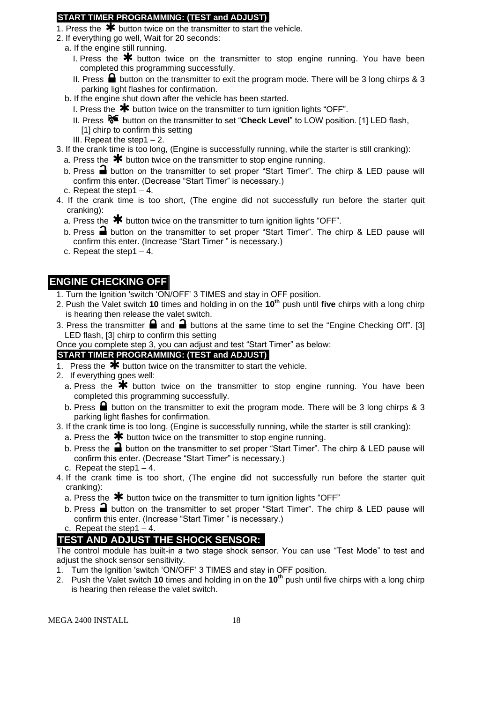# **START TIMER PROGRAMMING: (TEST and ADJUST)**

- 1. Press the  $\bigstar$  button twice on the transmitter to start the vehicle.
- 2. If everything go well, Wait for 20 seconds:
- a. If the engine still running.
	- I. Press the  $*$  button twice on the transmitter to stop engine running. You have been completed this programming successfully.
	- II. Press  $\blacksquare$  button on the transmitter to exit the program mode. There will be 3 long chirps & 3 parking light flashes for confirmation.
- b. If the engine shut down after the vehicle has been started.
	- I. Press the  $*$  button twice on the transmitter to turn ignition lights "OFF".
	- II. Press <sup>8€</sup> button on the transmitter to set "**Check Level**" to LOW position. [1] LED flash, [1] chirp to confirm this setting
	- III. Repeat the step1 $-2$ .
- 3. If the crank time is too long, (Engine is successfully running, while the starter is still cranking):
	- a. Press the  $*$  button twice on the transmitter to stop engine running.
	- b. Press  $\Box$  button on the transmitter to set proper "Start Timer". The chirp & LED pause will confirm this enter. (Decrease "Start Timer" is necessary.)
	- c. Repeat the step1 4.
- 4. If the crank time is too short, (The engine did not successfully run before the starter quit cranking):
	- a. Press the  $\mathbf{\divideontimes}$  button twice on the transmitter to turn ignition lights "OFF".
	- b. Press  $\blacksquare$  button on the transmitter to set proper "Start Timer". The chirp & LED pause will confirm this enter. (Increase "Start Timer " is necessary.)
	- c. Repeat the step1 4.

# **ENGINE CHECKING OFF**

- 1. Turn the Ignition 'switch 'ON/OFF' 3 TIMES and stay in OFF position.
- 2. Push the Valet switch **10** times and holding in on the **10th** push until **five** chirps with a long chirp is hearing then release the valet switch.
- 3. Press the transmitter  $\blacksquare$  and  $\blacksquare$  buttons at the same time to set the "Engine Checking Off". [3] LED flash, [3] chirp to confirm this setting
- Once you complete step 3, you can adjust and test "Start Timer" as below:

# **START TIMER PROGRAMMING: (TEST and ADJUST)**

- 1. Press the  $\overline{\mathbf{*}}$  button twice on the transmitter to start the vehicle.
- 2. If everything goes well:
	- a. Press the  $*$  button twice on the transmitter to stop engine running. You have been completed this programming successfully.
	- b. Press  $\blacksquare$  button on the transmitter to exit the program mode. There will be 3 long chirps & 3 parking light flashes for confirmation.
- 3. If the crank time is too long, (Engine is successfully running, while the starter is still cranking):
	- a. Press the  $\bigstar$  button twice on the transmitter to stop engine running.
	- b. Press the  $\blacksquare$  button on the transmitter to set proper "Start Timer". The chirp & LED pause will confirm this enter. (Decrease "Start Timer" is necessary.)
	- c. Repeat the step  $1 4$ .
- 4. If the crank time is too short, (The engine did not successfully run before the starter quit cranking):
	- a. Press the  $\bigstar$  button twice on the transmitter to turn ignition lights "OFF"
	- b. Press  $\triangleq$  button on the transmitter to set proper "Start Timer". The chirp & LED pause will confirm this enter. (Increase "Start Timer " is necessary.)
	- c. Repeat the step1 $-4$ .

# **TEST AND ADJUST THE SHOCK SENSOR:**

The control module has built-in a two stage shock sensor. You can use "Test Mode" to test and adjust the shock sensor sensitivity.

- 1. Turn the Ignition 'switch 'ON/OFF' 3 TIMES and stay in OFF position.
- 2. Push the Valet switch **10** times and holding in on the **10th** push until five chirps with a long chirp is hearing then release the valet switch.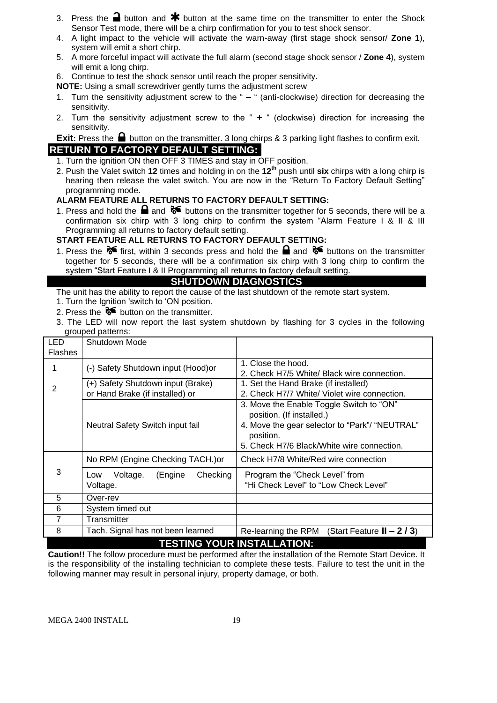- 3. Press the **a** button and  $*$  button at the same time on the transmitter to enter the Shock Sensor Test mode, there will be a chirp confirmation for you to test shock sensor.
- 4. A light impact to the vehicle will activate the warn-away (first stage shock sensor/ **Zone 1**), system will emit a short chirp.
- 5. A more forceful impact will activate the full alarm (second stage shock sensor / **Zone 4**), system will emit a long chirp.
- 6. Continue to test the shock sensor until reach the proper sensitivity.
- **NOTE:** Using a small screwdriver gently turns the adjustment screw
- 1. Turn the sensitivity adjustment screw to the " **–** " (anti-clockwise) direction for decreasing the sensitivity.
- 2. Turn the sensitivity adjustment screw to the " **+** " (clockwise) direction for increasing the sensitivity.

**Exit:** Press the **b**utton on the transmitter. 3 long chirps & 3 parking light flashes to confirm exit. **RETURN TO FACTORY DEFAULT SETTING:**

- 1. Turn the ignition ON then OFF 3 TIMES and stay in OFF position.
- 2. Push the Valet switch **12** times and holding in on the **12th** push until **six** chirps with a long chirp is hearing then release the valet switch. You are now in the "Return To Factory Default Setting" programming mode.

#### **ALARM FEATURE ALL RETURNS TO FACTORY DEFAULT SETTING:**

1. Press and hold the  $\blacksquare$  and  $\blacklozenge \blacklozenge$  buttons on the transmitter together for 5 seconds, there will be a confirmation six chirp with 3 long chirp to confirm the system "Alarm Feature I & II & III Programming all returns to factory default setting.

#### **START FEATURE ALL RETURNS TO FACTORY DEFAULT SETTING:**

1. Press the  $\delta$  first, within 3 seconds press and hold the **a** and  $\delta$  buttons on the transmitter together for 5 seconds, there will be a confirmation six chirp with 3 long chirp to confirm the system "Start Feature I & II Programming all returns to factory default setting.

# **SHUTDOWN DIAGNOSTICS**

The unit has the ability to report the cause of the last shutdown of the remote start system.

- 1. Turn the Ignition 'switch to 'ON position.
- 2. Press the  $\delta$  button on the transmitter.
- 3. The LED will now report the last system shutdown by flashing for 3 cycles in the following grouped patterns:

| <b>LED</b><br><b>Flashes</b> | Shutdown Mode                                                        |                                                                                                                                                                                    |
|------------------------------|----------------------------------------------------------------------|------------------------------------------------------------------------------------------------------------------------------------------------------------------------------------|
|                              | (-) Safety Shutdown input (Hood)or                                   | 1. Close the hood.<br>2. Check H7/5 White/ Black wire connection.                                                                                                                  |
| 2                            | (+) Safety Shutdown input (Brake)<br>or Hand Brake (if installed) or | 1. Set the Hand Brake (if installed)<br>2. Check H7/7 White/ Violet wire connection.                                                                                               |
|                              | Neutral Safety Switch input fail                                     | 3. Move the Enable Toggle Switch to "ON"<br>position. (If installed.)<br>4. Move the gear selector to "Park"/ "NEUTRAL"<br>position.<br>5. Check H7/6 Black/White wire connection. |
|                              | No RPM (Engine Checking TACH.) or                                    | Check H7/8 White/Red wire connection                                                                                                                                               |
| 3                            | Checking<br>Voltage.<br>(Engine<br>Low<br>Voltage.                   | Program the "Check Level" from<br>"Hi Check Level" to "Low Check Level"                                                                                                            |
| 5                            | Over-rev                                                             |                                                                                                                                                                                    |
| 6                            | System timed out                                                     |                                                                                                                                                                                    |
| $\overline{7}$               | Transmitter                                                          |                                                                                                                                                                                    |
| 8                            | Tach. Signal has not been learned                                    | (Start Feature $II - 2/3$ )<br>Re-learning the RPM                                                                                                                                 |
|                              |                                                                      | <b>TESTING YOUR INSTALLATION:</b>                                                                                                                                                  |

**Caution!!** The follow procedure must be performed after the installation of the Remote Start Device. It is the responsibility of the installing technician to complete these tests. Failure to test the unit in the following manner may result in personal injury, property damage, or both.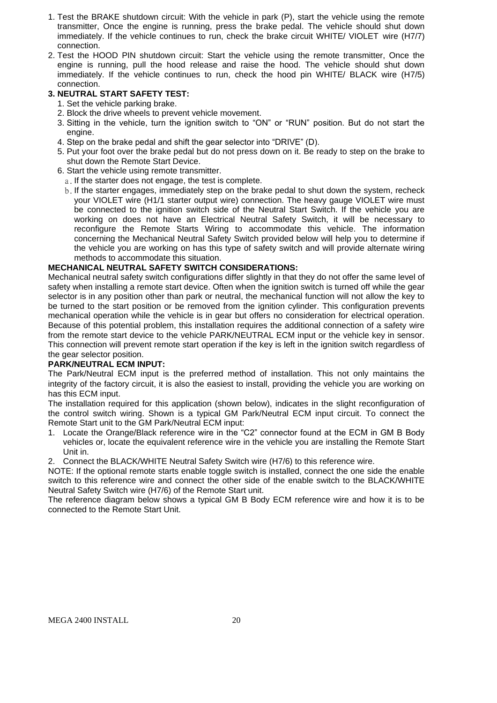- 1. Test the BRAKE shutdown circuit: With the vehicle in park (P), start the vehicle using the remote transmitter, Once the engine is running, press the brake pedal. The vehicle should shut down immediately. If the vehicle continues to run, check the brake circuit WHITE/ VIOLET wire (H7/7) connection.
- 2. Test the HOOD PIN shutdown circuit: Start the vehicle using the remote transmitter, Once the engine is running, pull the hood release and raise the hood. The vehicle should shut down immediately. If the vehicle continues to run, check the hood pin WHITE/ BLACK wire (H7/5) connection.

#### **3. NEUTRAL START SAFETY TEST:**

- 1. Set the vehicle parking brake.
- 2. Block the drive wheels to prevent vehicle movement.
- 3. Sitting in the vehicle, turn the ignition switch to "ON" or "RUN" position. But do not start the engine.
- 4. Step on the brake pedal and shift the gear selector into "DRIVE" (D).
- 5. Put your foot over the brake pedal but do not press down on it. Be ready to step on the brake to shut down the Remote Start Device.
- 6. Start the vehicle using remote transmitter.
	- a. If the starter does not engage, the test is complete.
	- b. If the starter engages, immediately step on the brake pedal to shut down the system, recheck your VIOLET wire (H1/1 starter output wire) connection. The heavy gauge VIOLET wire must be connected to the ignition switch side of the Neutral Start Switch. If the vehicle you are working on does not have an Electrical Neutral Safety Switch, it will be necessary to reconfigure the Remote Starts Wiring to accommodate this vehicle. The information concerning the Mechanical Neutral Safety Switch provided below will help you to determine if the vehicle you are working on has this type of safety switch and will provide alternate wiring methods to accommodate this situation.

#### **MECHANICAL NEUTRAL SAFETY SWITCH CONSIDERATIONS:**

Mechanical neutral safety switch configurations differ slightly in that they do not offer the same level of safety when installing a remote start device. Often when the ignition switch is turned off while the gear selector is in any position other than park or neutral, the mechanical function will not allow the key to be turned to the start position or be removed from the ignition cylinder. This configuration prevents mechanical operation while the vehicle is in gear but offers no consideration for electrical operation. Because of this potential problem, this installation requires the additional connection of a safety wire from the remote start device to the vehicle PARK/NEUTRAL ECM input or the vehicle key in sensor. This connection will prevent remote start operation if the key is left in the ignition switch regardless of the gear selector position.

#### **PARK/NEUTRAL ECM INPUT:**

The Park/Neutral ECM input is the preferred method of installation. This not only maintains the integrity of the factory circuit, it is also the easiest to install, providing the vehicle you are working on has this ECM input.

The installation required for this application (shown below), indicates in the slight reconfiguration of the control switch wiring. Shown is a typical GM Park/Neutral ECM input circuit. To connect the Remote Start unit to the GM Park/Neutral ECM input:

- 1. Locate the Orange/Black reference wire in the "C2" connector found at the ECM in GM B Body vehicles or, locate the equivalent reference wire in the vehicle you are installing the Remote Start Unit in.
- 2. Connect the BLACK/WHITE Neutral Safety Switch wire (H7/6) to this reference wire.

NOTE: If the optional remote starts enable toggle switch is installed, connect the one side the enable switch to this reference wire and connect the other side of the enable switch to the BLACK/WHITE Neutral Safety Switch wire (H7/6) of the Remote Start unit.

The reference diagram below shows a typical GM B Body ECM reference wire and how it is to be connected to the Remote Start Unit.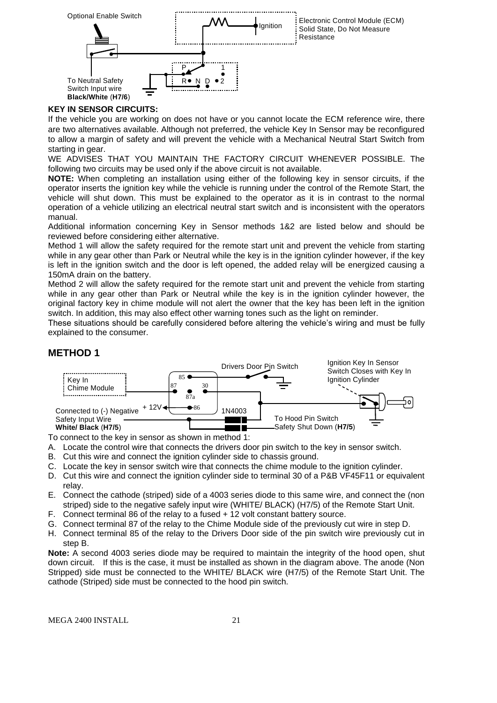

#### **KEY IN SENSOR CIRCUITS:**

If the vehicle you are working on does not have or you cannot locate the ECM reference wire, there are two alternatives available. Although not preferred, the vehicle Key In Sensor may be reconfigured to allow a margin of safety and will prevent the vehicle with a Mechanical Neutral Start Switch from starting in gear.

WE ADVISES THAT YOU MAINTAIN THE FACTORY CIRCUIT WHENEVER POSSIBLE. The following two circuits may be used only if the above circuit is not available.

**NOTE:** When completing an installation using either of the following key in sensor circuits, if the operator inserts the ignition key while the vehicle is running under the control of the Remote Start, the vehicle will shut down. This must be explained to the operator as it is in contrast to the normal operation of a vehicle utilizing an electrical neutral start switch and is inconsistent with the operators manual.

Additional information concerning Key in Sensor methods 1&2 are listed below and should be reviewed before considering either alternative.

Method 1 will allow the safety required for the remote start unit and prevent the vehicle from starting while in any gear other than Park or Neutral while the key is in the ignition cylinder however, if the key is left in the ignition switch and the door is left opened, the added relay will be energized causing a 150mA drain on the battery.

Method 2 will allow the safety required for the remote start unit and prevent the vehicle from starting while in any gear other than Park or Neutral while the key is in the ignition cylinder however, the original factory key in chime module will not alert the owner that the key has been left in the ignition switch. In addition, this may also effect other warning tones such as the light on reminder.

These situations should be carefully considered before altering the vehicle's wiring and must be fully explained to the consumer.

#### **METHOD 1**



To connect to the key in sensor as shown in method 1:

A. Locate the control wire that connects the drivers door pin switch to the key in sensor switch.

- B. Cut this wire and connect the ignition cylinder side to chassis ground.
- C. Locate the key in sensor switch wire that connects the chime module to the ignition cylinder.
- D. Cut this wire and connect the ignition cylinder side to terminal 30 of a P&B VF45F11 or equivalent relay.
- E. Connect the cathode (striped) side of a 4003 series diode to this same wire, and connect the (non striped) side to the negative safely input wire (WHITE/ BLACK) (H7/5) of the Remote Start Unit.
- F. Connect terminal 86 of the relay to a fused + 12 volt constant battery source.
- G. Connect terminal 87 of the relay to the Chime Module side of the previously cut wire in step D.
- H. Connect terminal 85 of the relay to the Drivers Door side of the pin switch wire previously cut in step B.

**Note:** A second 4003 series diode may be required to maintain the integrity of the hood open, shut down circuit. If this is the case, it must be installed as shown in the diagram above. The anode (Non Stripped) side must be connected to the WHITE/ BLACK wire (H7/5) of the Remote Start Unit. The cathode (Striped) side must be connected to the hood pin switch.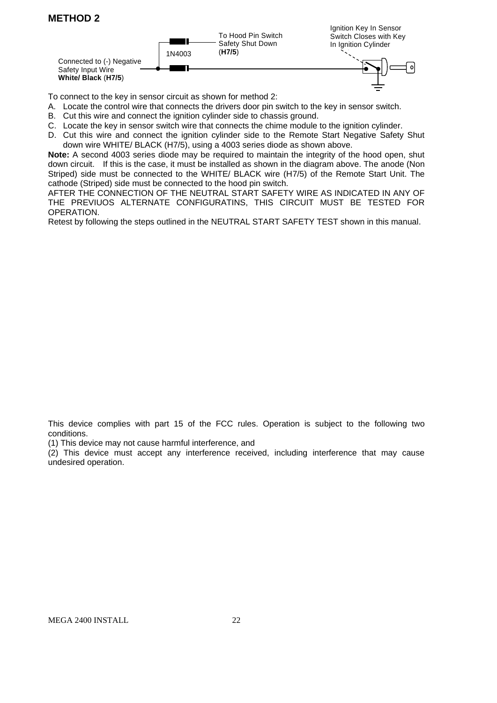# **METHOD 2**



To connect to the key in sensor circuit as shown for method 2:

- A. Locate the control wire that connects the drivers door pin switch to the key in sensor switch.
- B. Cut this wire and connect the ignition cylinder side to chassis ground.
- C. Locate the key in sensor switch wire that connects the chime module to the ignition cylinder.
- D. Cut this wire and connect the ignition cylinder side to the Remote Start Negative Safety Shut down wire WHITE/ BLACK (H7/5), using a 4003 series diode as shown above.

**Note:** A second 4003 series diode may be required to maintain the integrity of the hood open, shut down circuit. If this is the case, it must be installed as shown in the diagram above. The anode (Non Striped) side must be connected to the WHITE/ BLACK wire (H7/5) of the Remote Start Unit. The cathode (Striped) side must be connected to the hood pin switch.

AFTER THE CONNECTION OF THE NEUTRAL START SAFETY WIRE AS INDICATED IN ANY OF THE PREVIUOS ALTERNATE CONFIGURATINS, THIS CIRCUIT MUST BE TESTED FOR OPERATION.

Retest by following the steps outlined in the NEUTRAL START SAFETY TEST shown in this manual.

This device complies with part 15 of the FCC rules. Operation is subject to the following two conditions.

(1) This device may not cause harmful interference, and

(2) This device must accept any interference received, including interference that may cause undesired operation.